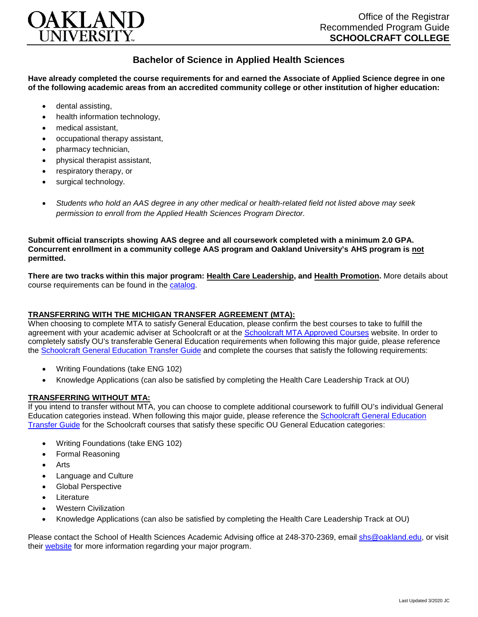

## **Bachelor of Science in Applied Health Sciences**

**Have already completed the course requirements for and earned the Associate of Applied Science degree in one of the following academic areas from an accredited community college or other institution of higher education:**

- dental assisting,
- health information technology.
- medical assistant,
- occupational therapy assistant,
- pharmacy technician,
- physical therapist assistant,
- respiratory therapy, or
- surgical technology.
- *Students who hold an AAS degree in any other medical or health-related field not listed above may seek permission to enroll from the Applied Health Sciences Program Director.*

**Submit official transcripts showing AAS degree and all coursework completed with a minimum 2.0 GPA. Concurrent enrollment in a community college AAS program and Oakland University's AHS program is not permitted.**

**There are two tracks within this major program: Health Care Leadership, and Health Promotion.** More details about course requirements can be found in the [catalog.](http://catalog.oakland.edu/preview_program.php?catoid=44&poid=6779)

## **TRANSFERRING WITH THE MICHIGAN TRANSFER AGREEMENT (MTA):**

When choosing to complete MTA to satisfy General Education, please confirm the best courses to take to fulfill the agreement with your academic adviser at Schoolcraft or at the [Schoolcraft MTA Approved Courses](https://www.schoolcraft.edu/academics/michigan-transfer-agreement) website. In order to completely satisfy OU's transferable General Education requirements when following this major guide, please reference the [Schoolcraft General Education Transfer Guide](https://www.oakland.edu/Assets/Oakland/program-guides/schoolcraft-college/university-general-education-requirements/Schoolcraft%20Gen%20Ed.pdf) and complete the courses that satisfy the following requirements:

- Writing Foundations (take ENG 102)
- Knowledge Applications (can also be satisfied by completing the Health Care Leadership Track at OU)

## **TRANSFERRING WITHOUT MTA:**

If you intend to transfer without MTA, you can choose to complete additional coursework to fulfill OU's individual General Education categories instead. When following this major guide, please reference the [Schoolcraft General Education](https://www.oakland.edu/Assets/Oakland/program-guides/schoolcraft-college/university-general-education-requirements/Schoolcraft%20Gen%20Ed.pdf)  [Transfer Guide](https://www.oakland.edu/Assets/Oakland/program-guides/schoolcraft-college/university-general-education-requirements/Schoolcraft%20Gen%20Ed.pdf) for the Schoolcraft courses that satisfy these specific OU General Education categories:

- Writing Foundations (take ENG 102)
- Formal Reasoning
- **Arts**
- Language and Culture
- Global Perspective
- **Literature**
- Western Civilization
- Knowledge Applications (can also be satisfied by completing the Health Care Leadership Track at OU)

Please contact the School of Health Sciences Academic Advising office at 248-370-2369, email [shs@oakland.edu,](mailto:shs@oakland.edu) or visit their [website](http://www.oakland.edu/shs/advising) for more information regarding your major program.